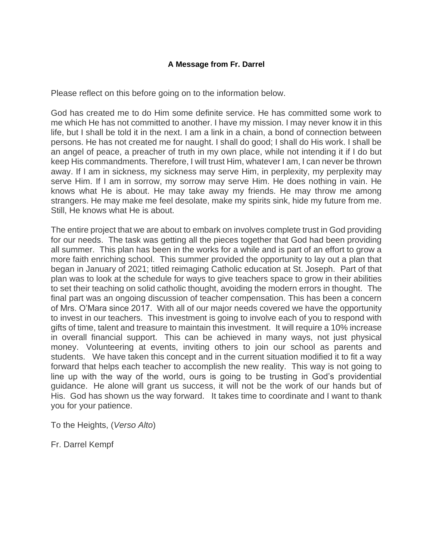## **A Message from Fr. Darrel**

Please reflect on this before going on to the information below.

God has created me to do Him some definite service. He has committed some work to me which He has not committed to another. I have my mission. I may never know it in this life, but I shall be told it in the next. I am a link in a chain, a bond of connection between persons. He has not created me for naught. I shall do good; I shall do His work. I shall be an angel of peace, a preacher of truth in my own place, while not intending it if I do but keep His commandments. Therefore, I will trust Him, whatever I am, I can never be thrown away. If I am in sickness, my sickness may serve Him, in perplexity, my perplexity may serve Him. If I am in sorrow, my sorrow may serve Him. He does nothing in vain. He knows what He is about. He may take away my friends. He may throw me among strangers. He may make me feel desolate, make my spirits sink, hide my future from me. Still, He knows what He is about.

The entire project that we are about to embark on involves complete trust in God providing for our needs. The task was getting all the pieces together that God had been providing all summer. This plan has been in the works for a while and is part of an effort to grow a more faith enriching school. This summer provided the opportunity to lay out a plan that began in January of 2021; titled reimaging Catholic education at St. Joseph. Part of that plan was to look at the schedule for ways to give teachers space to grow in their abilities to set their teaching on solid catholic thought, avoiding the modern errors in thought. The final part was an ongoing discussion of teacher compensation. This has been a concern of Mrs. O'Mara since 2017. With all of our major needs covered we have the opportunity to invest in our teachers. This investment is going to involve each of you to respond with gifts of time, talent and treasure to maintain this investment. It will require a 10% increase in overall financial support. This can be achieved in many ways, not just physical money. Volunteering at events, inviting others to join our school as parents and students. We have taken this concept and in the current situation modified it to fit a way forward that helps each teacher to accomplish the new reality. This way is not going to line up with the way of the world, ours is going to be trusting in God's providential guidance. He alone will grant us success, it will not be the work of our hands but of His. God has shown us the way forward. It takes time to coordinate and I want to thank you for your patience.

To the Heights, (*Verso Alto*)

Fr. Darrel Kempf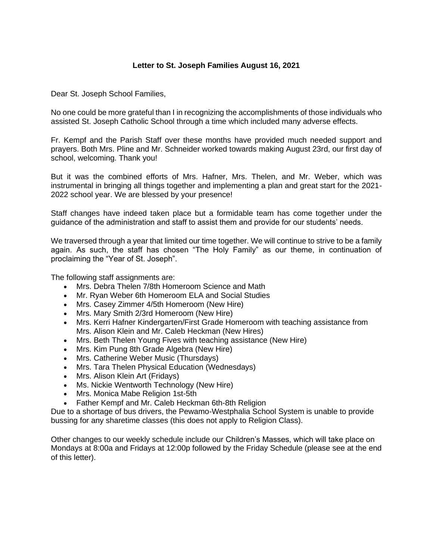## **Letter to St. Joseph Families August 16, 2021**

Dear St. Joseph School Families,

No one could be more grateful than I in recognizing the accomplishments of those individuals who assisted St. Joseph Catholic School through a time which included many adverse effects.

Fr. Kempf and the Parish Staff over these months have provided much needed support and prayers. Both Mrs. Pline and Mr. Schneider worked towards making August 23rd, our first day of school, welcoming. Thank you!

But it was the combined efforts of Mrs. Hafner, Mrs. Thelen, and Mr. Weber, which was instrumental in bringing all things together and implementing a plan and great start for the 2021- 2022 school year. We are blessed by your presence!

Staff changes have indeed taken place but a formidable team has come together under the guidance of the administration and staff to assist them and provide for our students' needs.

We traversed through a year that limited our time together. We will continue to strive to be a family again. As such, the staff has chosen "The Holy Family" as our theme, in continuation of proclaiming the "Year of St. Joseph".

The following staff assignments are:

- Mrs. Debra Thelen 7/8th Homeroom Science and Math
- Mr. Ryan Weber 6th Homeroom ELA and Social Studies
- Mrs. Casey Zimmer 4/5th Homeroom (New Hire)
- Mrs. Mary Smith 2/3rd Homeroom (New Hire)
- Mrs. Kerri Hafner Kindergarten/First Grade Homeroom with teaching assistance from Mrs. Alison Klein and Mr. Caleb Heckman (New Hires)
- Mrs. Beth Thelen Young Fives with teaching assistance (New Hire)
- Mrs. Kim Pung 8th Grade Algebra (New Hire)
- Mrs. Catherine Weber Music (Thursdays)
- Mrs. Tara Thelen Physical Education (Wednesdays)
- Mrs. Alison Klein Art (Fridays)
- Ms. Nickie Wentworth Technology (New Hire)
- Mrs. Monica Mabe Religion 1st-5th
- Father Kempf and Mr. Caleb Heckman 6th-8th Religion

Due to a shortage of bus drivers, the Pewamo-Westphalia School System is unable to provide bussing for any sharetime classes (this does not apply to Religion Class).

Other changes to our weekly schedule include our Children's Masses, which will take place on Mondays at 8:00a and Fridays at 12:00p followed by the Friday Schedule (please see at the end of this letter).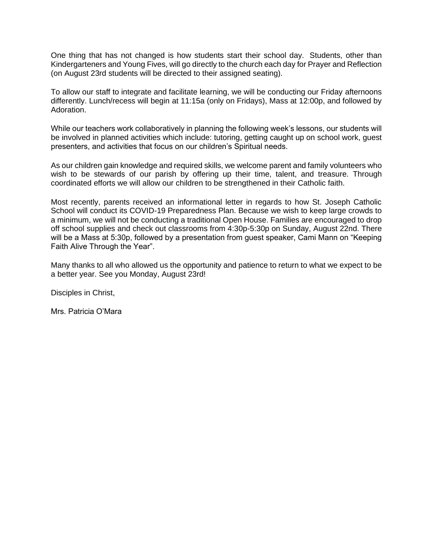One thing that has not changed is how students start their school day. Students, other than Kindergarteners and Young Fives, will go directly to the church each day for Prayer and Reflection (on August 23rd students will be directed to their assigned seating).

To allow our staff to integrate and facilitate learning, we will be conducting our Friday afternoons differently. Lunch/recess will begin at 11:15a (only on Fridays), Mass at 12:00p, and followed by Adoration.

While our teachers work collaboratively in planning the following week's lessons, our students will be involved in planned activities which include: tutoring, getting caught up on school work, guest presenters, and activities that focus on our children's Spiritual needs.

As our children gain knowledge and required skills, we welcome parent and family volunteers who wish to be stewards of our parish by offering up their time, talent, and treasure. Through coordinated efforts we will allow our children to be strengthened in their Catholic faith.

Most recently, parents received an informational letter in regards to how St. Joseph Catholic School will conduct its COVID-19 Preparedness Plan. Because we wish to keep large crowds to a minimum, we will not be conducting a traditional Open House. Families are encouraged to drop off school supplies and check out classrooms from 4:30p-5:30p on Sunday, August 22nd. There will be a Mass at 5:30p, followed by a presentation from guest speaker, Cami Mann on "Keeping Faith Alive Through the Year".

Many thanks to all who allowed us the opportunity and patience to return to what we expect to be a better year. See you Monday, August 23rd!

Disciples in Christ,

Mrs. Patricia O'Mara